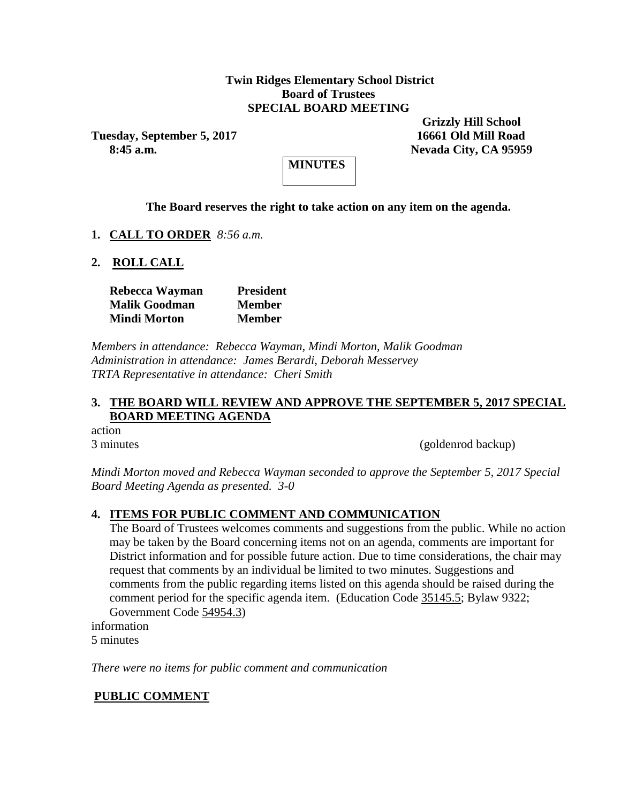#### **Twin Ridges Elementary School District Board of Trustees SPECIAL BOARD MEETING**

**Tuesday, September 5, 2017 16661 Old Mill Road**

 **Grizzly Hill School 8:45 a.m. Nevada City, CA 95959**



#### **The Board reserves the right to take action on any item on the agenda.**

- **1. CALL TO ORDER** *8:56 a.m.*
- **2. ROLL CALL**

| Rebecca Wayman       | <b>President</b> |
|----------------------|------------------|
| <b>Malik Goodman</b> | <b>Member</b>    |
| Mindi Morton         | <b>Member</b>    |

*Members in attendance: Rebecca Wayman, Mindi Morton, Malik Goodman Administration in attendance: James Berardi, Deborah Messervey TRTA Representative in attendance: Cheri Smith*

## **3. THE BOARD WILL REVIEW AND APPROVE THE SEPTEMBER 5, 2017 SPECIAL BOARD MEETING AGENDA**

action

3 minutes (goldenrod backup)

*Mindi Morton moved and Rebecca Wayman seconded to approve the September 5, 2017 Special Board Meeting Agenda as presented. 3-0*

#### **4. ITEMS FOR PUBLIC COMMENT AND COMMUNICATION**

The Board of Trustees welcomes comments and suggestions from the public. While no action may be taken by the Board concerning items not on an agenda, comments are important for District information and for possible future action. Due to time considerations, the chair may request that comments by an individual be limited to two minutes. Suggestions and comments from the public regarding items listed on this agenda should be raised during the comment period for the specific agenda item. (Education Code 35145.5; Bylaw 9322; Government Code 54954.3)

information 5 minutes

*There were no items for public comment and communication*

#### **PUBLIC COMMENT**